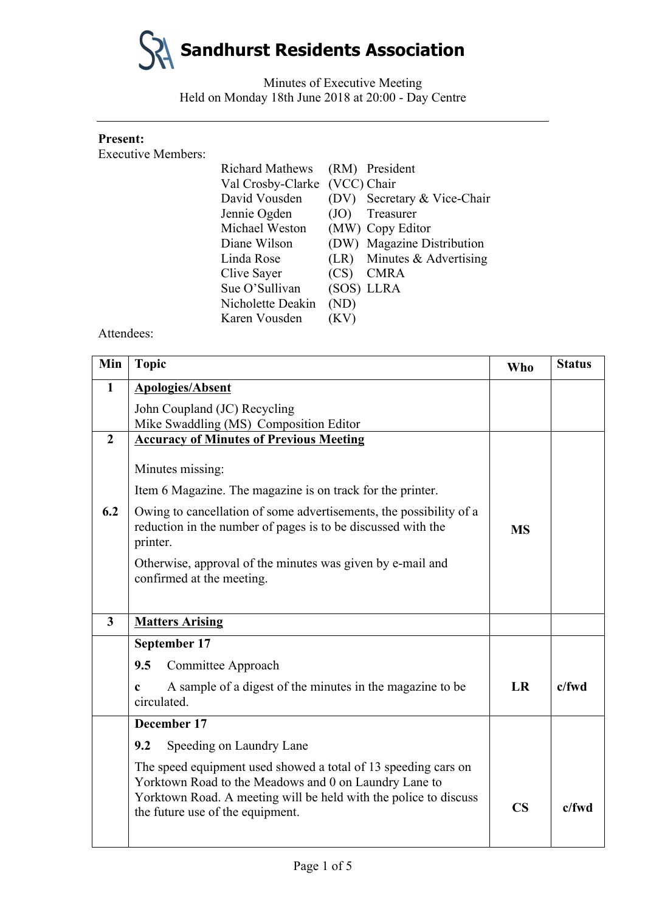

Minutes of Executive Meeting Held on Monday 18th June 2018 at 20:00 - Day Centre

## **Present:**

Executive Members:

| <b>Richard Mathews</b> |             | (RM) President              |
|------------------------|-------------|-----------------------------|
| Val Crosby-Clarke      | (VCC) Chair |                             |
| David Vousden          |             | (DV) Secretary & Vice-Chair |
| Jennie Ogden           | (JO)        | Treasurer                   |
| Michael Weston         |             | (MW) Copy Editor            |
| Diane Wilson           |             | (DW) Magazine Distribution  |
| Linda Rose             | (LR)        | Minutes & Advertising       |
| Clive Sayer            | (CS)        | <b>CMRA</b>                 |
| Sue O'Sullivan         |             | (SOS) LLRA                  |
| Nicholette Deakin      | (ND)        |                             |
| Karen Vousden          | (KV)        |                             |

Attendees:

| Min                     | <b>Topic</b>                                                                                                                                                                                                                    | <b>Who</b>             | <b>Status</b> |
|-------------------------|---------------------------------------------------------------------------------------------------------------------------------------------------------------------------------------------------------------------------------|------------------------|---------------|
| 1                       | <b>Apologies/Absent</b>                                                                                                                                                                                                         |                        |               |
|                         | John Coupland (JC) Recycling                                                                                                                                                                                                    |                        |               |
|                         | Mike Swaddling (MS) Composition Editor                                                                                                                                                                                          |                        |               |
| $\overline{2}$          | <b>Accuracy of Minutes of Previous Meeting</b>                                                                                                                                                                                  |                        |               |
|                         | Minutes missing:                                                                                                                                                                                                                |                        |               |
|                         | Item 6 Magazine. The magazine is on track for the printer.                                                                                                                                                                      |                        |               |
| 6.2                     | Owing to cancellation of some advertisements, the possibility of a<br>reduction in the number of pages is to be discussed with the<br>printer.                                                                                  | <b>MS</b>              |               |
|                         | Otherwise, approval of the minutes was given by e-mail and<br>confirmed at the meeting.                                                                                                                                         |                        |               |
| $\overline{\mathbf{3}}$ | <b>Matters Arising</b>                                                                                                                                                                                                          |                        |               |
|                         | September 17                                                                                                                                                                                                                    |                        |               |
|                         | 9.5<br>Committee Approach                                                                                                                                                                                                       |                        |               |
|                         | A sample of a digest of the minutes in the magazine to be<br>$\mathbf{c}$<br>circulated.                                                                                                                                        | <b>LR</b>              | $c$ /fwd      |
|                         | December 17                                                                                                                                                                                                                     |                        |               |
|                         | Speeding on Laundry Lane<br>9.2                                                                                                                                                                                                 |                        |               |
|                         | The speed equipment used showed a total of 13 speeding cars on<br>Yorktown Road to the Meadows and 0 on Laundry Lane to<br>Yorktown Road. A meeting will be held with the police to discuss<br>the future use of the equipment. | $\overline{\text{CS}}$ | $c$ /fwd      |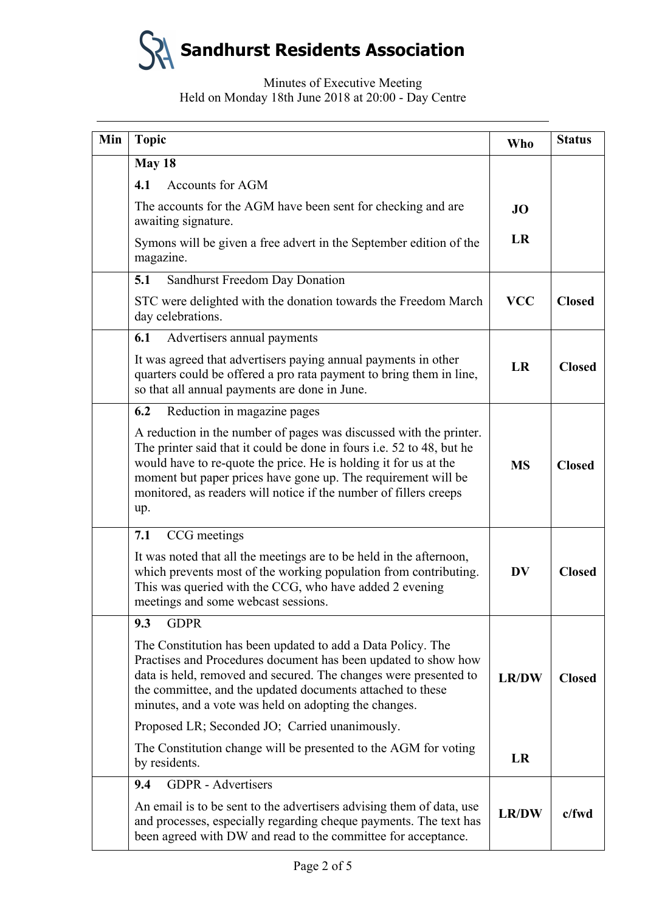

# Minutes of Executive Meeting Held on Monday 18th June 2018 at 20:00 - Day Centre

| Min | <b>Topic</b>                                                                                                                                                                                                                                                                                                                                                        | <b>Who</b>   | <b>Status</b> |
|-----|---------------------------------------------------------------------------------------------------------------------------------------------------------------------------------------------------------------------------------------------------------------------------------------------------------------------------------------------------------------------|--------------|---------------|
|     | May 18                                                                                                                                                                                                                                                                                                                                                              |              |               |
|     | <b>Accounts for AGM</b><br>4.1                                                                                                                                                                                                                                                                                                                                      |              |               |
|     | The accounts for the AGM have been sent for checking and are<br>awaiting signature.                                                                                                                                                                                                                                                                                 | <b>JO</b>    |               |
|     | Symons will be given a free advert in the September edition of the<br>magazine.                                                                                                                                                                                                                                                                                     | LR           |               |
|     | 5.1<br>Sandhurst Freedom Day Donation                                                                                                                                                                                                                                                                                                                               |              |               |
|     | STC were delighted with the donation towards the Freedom March<br>day celebrations.                                                                                                                                                                                                                                                                                 | <b>VCC</b>   | <b>Closed</b> |
|     | 6.1<br>Advertisers annual payments                                                                                                                                                                                                                                                                                                                                  |              |               |
|     | It was agreed that advertisers paying annual payments in other<br>quarters could be offered a pro rata payment to bring them in line,<br>so that all annual payments are done in June.                                                                                                                                                                              | LR           | <b>Closed</b> |
|     | Reduction in magazine pages<br>6.2                                                                                                                                                                                                                                                                                                                                  |              |               |
|     | A reduction in the number of pages was discussed with the printer.<br>The printer said that it could be done in fours <i>i.e.</i> 52 to 48, but he<br>would have to re-quote the price. He is holding it for us at the<br>moment but paper prices have gone up. The requirement will be<br>monitored, as readers will notice if the number of fillers creeps<br>up. | <b>MS</b>    | <b>Closed</b> |
|     | CCG meetings<br>7.1                                                                                                                                                                                                                                                                                                                                                 |              |               |
|     | It was noted that all the meetings are to be held in the afternoon,<br>which prevents most of the working population from contributing.<br>This was queried with the CCG, who have added 2 evening<br>meetings and some webcast sessions.                                                                                                                           | <b>DV</b>    | <b>Closed</b> |
|     | 9.3<br><b>GDPR</b>                                                                                                                                                                                                                                                                                                                                                  |              |               |
|     | The Constitution has been updated to add a Data Policy. The<br>Practises and Procedures document has been updated to show how<br>data is held, removed and secured. The changes were presented to<br>the committee, and the updated documents attached to these<br>minutes, and a vote was held on adopting the changes.                                            | <b>LR/DW</b> | <b>Closed</b> |
|     | Proposed LR; Seconded JO; Carried unanimously.                                                                                                                                                                                                                                                                                                                      |              |               |
|     | The Constitution change will be presented to the AGM for voting<br>by residents.                                                                                                                                                                                                                                                                                    | LR           |               |
|     | <b>GDPR</b> - Advertisers<br>9.4                                                                                                                                                                                                                                                                                                                                    |              |               |
|     | An email is to be sent to the advertisers advising them of data, use<br>and processes, especially regarding cheque payments. The text has<br>been agreed with DW and read to the committee for acceptance.                                                                                                                                                          | <b>LR/DW</b> | $c$ /fwd      |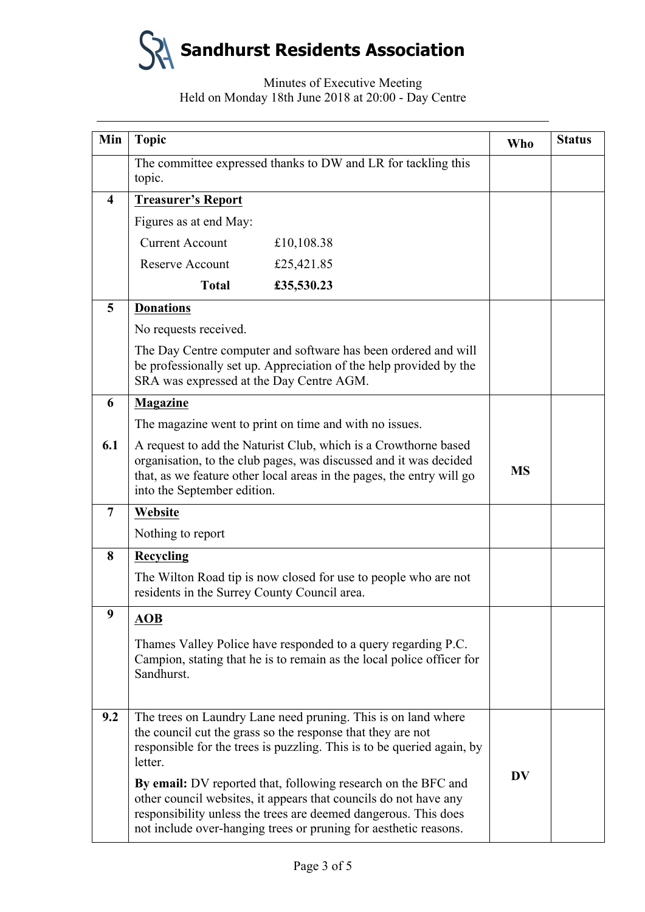**Sandhurst Residents Association**

# Minutes of Executive Meeting Held on Monday 18th June 2018 at 20:00 - Day Centre

| Min                     | <b>Topic</b>                                                                                                                                                                                                                                 |                                                                                                                                                                                                                                                                          | <b>Who</b> | <b>Status</b> |
|-------------------------|----------------------------------------------------------------------------------------------------------------------------------------------------------------------------------------------------------------------------------------------|--------------------------------------------------------------------------------------------------------------------------------------------------------------------------------------------------------------------------------------------------------------------------|------------|---------------|
|                         | topic.                                                                                                                                                                                                                                       | The committee expressed thanks to DW and LR for tackling this                                                                                                                                                                                                            |            |               |
| $\overline{\mathbf{4}}$ | <b>Treasurer's Report</b>                                                                                                                                                                                                                    |                                                                                                                                                                                                                                                                          |            |               |
|                         | Figures as at end May:                                                                                                                                                                                                                       |                                                                                                                                                                                                                                                                          |            |               |
|                         | <b>Current Account</b>                                                                                                                                                                                                                       | £10,108.38                                                                                                                                                                                                                                                               |            |               |
|                         | <b>Reserve Account</b>                                                                                                                                                                                                                       | £25,421.85                                                                                                                                                                                                                                                               |            |               |
|                         | <b>Total</b>                                                                                                                                                                                                                                 | £35,530.23                                                                                                                                                                                                                                                               |            |               |
| 5                       | <b>Donations</b>                                                                                                                                                                                                                             |                                                                                                                                                                                                                                                                          |            |               |
|                         | No requests received.                                                                                                                                                                                                                        |                                                                                                                                                                                                                                                                          |            |               |
|                         | SRA was expressed at the Day Centre AGM.                                                                                                                                                                                                     | The Day Centre computer and software has been ordered and will<br>be professionally set up. Appreciation of the help provided by the                                                                                                                                     |            |               |
| 6                       | <b>Magazine</b>                                                                                                                                                                                                                              |                                                                                                                                                                                                                                                                          |            |               |
|                         |                                                                                                                                                                                                                                              | The magazine went to print on time and with no issues.                                                                                                                                                                                                                   |            |               |
| 6.1                     | A request to add the Naturist Club, which is a Crowthorne based<br>organisation, to the club pages, was discussed and it was decided<br>that, as we feature other local areas in the pages, the entry will go<br>into the September edition. |                                                                                                                                                                                                                                                                          | <b>MS</b>  |               |
| $\overline{7}$          | Website                                                                                                                                                                                                                                      |                                                                                                                                                                                                                                                                          |            |               |
|                         | Nothing to report                                                                                                                                                                                                                            |                                                                                                                                                                                                                                                                          |            |               |
| 8                       | <b>Recycling</b>                                                                                                                                                                                                                             |                                                                                                                                                                                                                                                                          |            |               |
|                         | residents in the Surrey County Council area.                                                                                                                                                                                                 | The Wilton Road tip is now closed for use to people who are not                                                                                                                                                                                                          |            |               |
| 9                       | <b>AOB</b>                                                                                                                                                                                                                                   |                                                                                                                                                                                                                                                                          |            |               |
|                         | Sandhurst.                                                                                                                                                                                                                                   | Thames Valley Police have responded to a query regarding P.C.<br>Campion, stating that he is to remain as the local police officer for                                                                                                                                   |            |               |
| 9.2                     | letter.                                                                                                                                                                                                                                      | The trees on Laundry Lane need pruning. This is on land where<br>the council cut the grass so the response that they are not<br>responsible for the trees is puzzling. This is to be queried again, by                                                                   | <b>DV</b>  |               |
|                         |                                                                                                                                                                                                                                              | By email: DV reported that, following research on the BFC and<br>other council websites, it appears that councils do not have any<br>responsibility unless the trees are deemed dangerous. This does<br>not include over-hanging trees or pruning for aesthetic reasons. |            |               |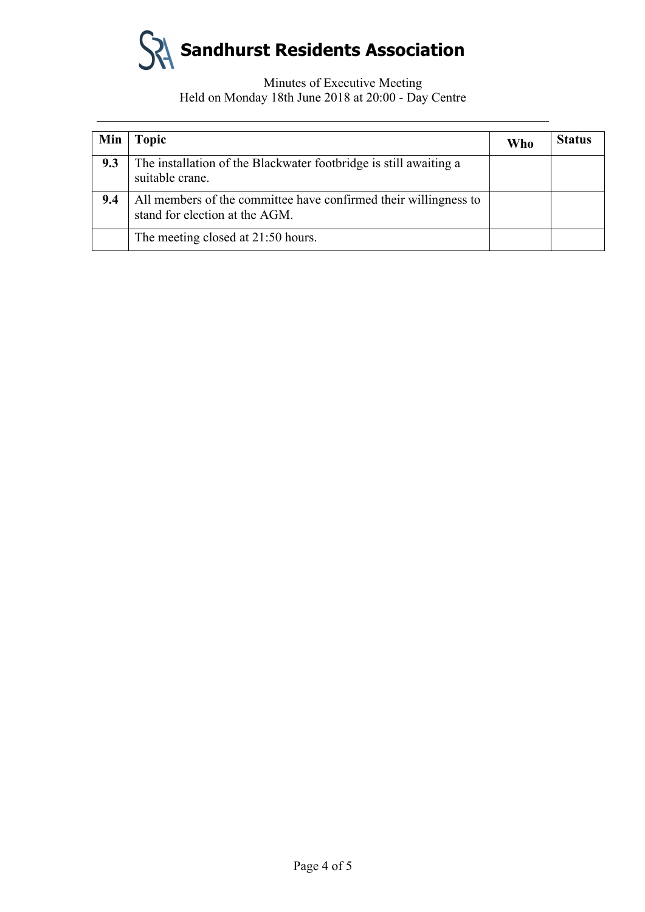

## Minutes of Executive Meeting Held on Monday 18th June 2018 at 20:00 - Day Centre

| Min | <b>Topic</b>                                                                                       | Who | <b>Status</b> |
|-----|----------------------------------------------------------------------------------------------------|-----|---------------|
| 9.3 | The installation of the Blackwater footbridge is still awaiting a<br>suitable crane.               |     |               |
| 9.4 | All members of the committee have confirmed their willingness to<br>stand for election at the AGM. |     |               |
|     | The meeting closed at 21:50 hours.                                                                 |     |               |